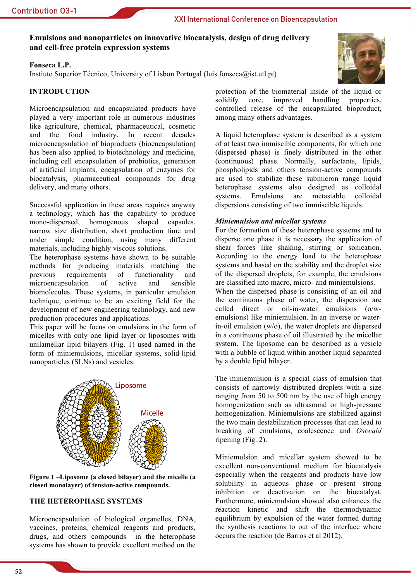# Emulsions and nanoparticles on innovative biocatalysis, design of drug delivery and cell-free protein expression systems

### Fonseca L.P.

Instiuto Superior Técnico, University of Lisbon Portugal (luis.fonseca@ist.utl.pt)

## **INTRODUCTION**

Microencapsulation and encapsulated products have played a very important role in numerous industries like agriculture, chemical, pharmaceutical, cosmetic and the food industry. In recent decades microencapsulation of bioproducts (bioencapsulation) has been also applied to biotechnology and medicine, including cell encapsulation of probiotics, generation of artificial implants, encapsulation of enzymes for biocatalysis, pharmaceutical compounds for drug delivery, and many others.

Successful application in these areas requires anyway a technology, which has the capability to produce mono-dispersed, homogenous shaped capsules. narrow size distribution, short production time and under simple condition, using many different materials, including highly viscous solutions.

The heterophase systems have shown to be suitable methods for producing materials matching the requirements  $\sigma$ functionality previous and microencapsulation active and  $\sigma$ f sensible biomolecules. These systems, in particular emulsion technique, continue to be an exciting field for the development of new engineering technology, and new production procedures and applications.

This paper will be focus on emulsions in the form of micelles with only one lipid layer or liposomes with unilamellar lipid bilayers (Fig. 1) used named in the form of miniemulsions, micellar systems, solid-lipid nanoparticles (SLNs) and vesicles.



Figure 1-Liposome (a closed bilayer) and the micelle (a closed monolayer) of tension-active compounds.

## THE HETEROPHASE SYSTEMS

Microencapsulation of biological organelles, DNA, vaccines, proteins, chemical reagents and products, drugs, and others compounds in the heterophase systems has shown to provide excellent method on the



A liquid heterophase system is described as a system of at least two immiscible components, for which one (dispersed phase) is finely distributed in the other (continuous) phase. Normally, surfactants, lipids, phospholipids and others tension-active compounds are used to stabilize these submicron range liquid heterophase systems also designed as colloidal Emulsions systems. are metastable colloidal dispersions consisting of two immiscible liquids.

### Miniemulsion and micellar systems

For the formation of these heterophase systems and to disperse one phase it is necessary the application of shear forces like shaking, stirring or sonication. According to the energy load to the heterophase systems and based on the stability and the droplet size of the dispersed droplets, for example, the emulsions are classified into macro, micro- and miniemulsions. When the dispersed phase is consisting of an oil and the continuous phase of water, the dispersion are called direct or oil-in-water emulsions  $(o/w$ emulsions) like miniemulsion. In an inverse or waterin-oil emulsion  $(w/o)$ , the water droplets are dispersed in a continuous phase of oil illustrated by the micellar system. The liposome can be described as a vesicle with a bubble of liquid within another liquid separated by a double lipid bilayer.

The miniemulsion is a special class of emulsion that consists of narrowly distributed droplets with a size ranging from 50 to 500 nm by the use of high energy homogenization such as ultrasound or high-pressure homogenization. Miniemulsions are stabilized against the two main destabilization processes that can lead to breaking of emulsions, coalescence and Ostwald ripening  $(Fig. 2)$ .

Miniemulsion and micellar system showed to be excellent non-conventional medium for biocatalysis especially when the reagents and products have low solubility in aqueous phase or present strong inhibition or deactivation on the biocatalyst. Furthermore, miniemulsion showed also enhances the reaction kinetic and shift the thermodynamic equilibrium by expulsion of the water formed during the synthesis reactions to out of the interface where occurs the reaction (de Barros et al 2012).